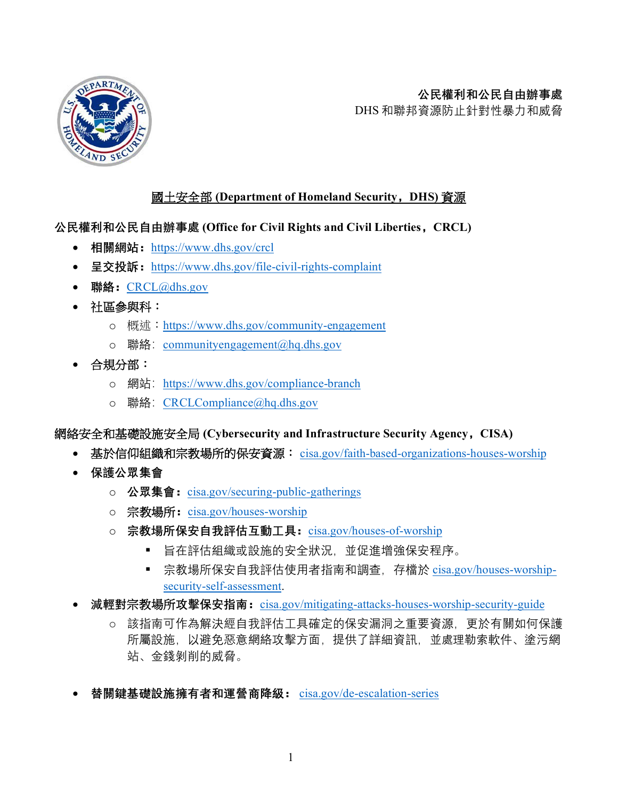

# **公民權利和公民自由辦事處**

DHS 和聯邦資源防止針對性暴力和威脅

## 國土安全部 **(Department of Homeland Security,DHS)** 資源

#### **公民權利和公民自由辦事處 (Office for Civil Rights and Civil Liberties,CRCL)**

- **相關網站:**<https://www.dhs.gov/crcl>
- 呈交投訴:https://www.dhs.gov/file-civil-rights-complaint
- 聯絡: CRCL@dhs.gov
- 社區參與科:
	- o 概述: https://www.dhs.gov/community-engagement
	- $\circ$  聯絡: communityengagement@hq.dhs.gov
- 合規分部:
	- o 網站: https://www.dhs.gov/compliance-branch
	- o 聯絡: [CRCLCompliance@hq.dhs.gov](mailto:CRCLCompliance@hq.dhs.gov)

#### 網絡安全和基礎設施安全局 **(Cybersecurity and Infrastructure Security Agency,CISA)**

- 基於信仰組織和宗教場所的保安資源: [cisa.gov/faith-based-organizations-houses-worship](https://www.cisa.gov/faith-based-organizations-houses-worship)
- **保護公眾集會**
	- o **公眾集會:**[cisa.gov/securing-public-gatherings](https://www.cisa.gov/securing-public-gatherings)
	- o 宗教場所:<u>cisa.gov/houses-worship</u>
	- o 宗教場所保安自我評估互動工具: <u>cisa.gov/houses-of-worship</u>
		- 旨在評估組織或設施的安全狀況, 並促谁增強保安程序。
		- 宗教場所保安自我評估使用者指南和調査, 存檔於 [cisa.gov/houses-worship](https://www.cisa.gov/houses-worship-security-self-assessment)[security-self-assessment.](https://www.cisa.gov/houses-worship-security-self-assessment)
- **減輕對**宗教場所**攻擊保安指南:**[cisa.gov/mitigating-attacks-houses-worship-security-guide](https://www.cisa.gov/mitigating-attacks-houses-worship-security-guide) 
	- o 該指南可作為解決經自我評估工具確定的保安漏洞之重要資源,更於有關如何保護 所屬設施, 以避免惡意網絡攻擊方面, 提供了詳細資訊, 並處理勒索軟件、塗污網 站、金錢剝削的威脅。
- **替關鍵基礎設施擁有者和運營商降級:** c<u>isa.gov/de-escalation-series</u><br><br>1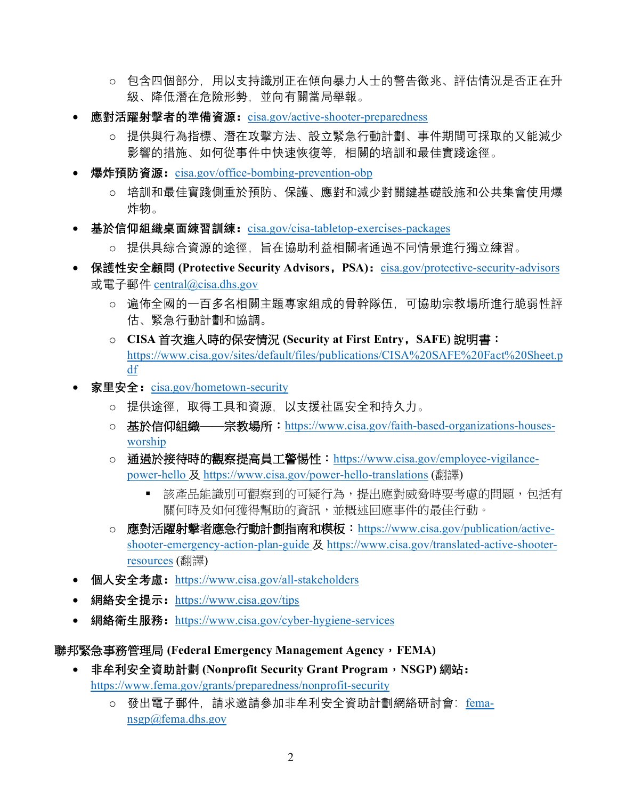- o 包含四個部分,用以支持識別正在傾向暴力人士的警告徵兆、評估情況是否正在升 級、降低潛在危險形勢,並向有關當局舉報。
- 應對活躍射擊者的準備資源: cisa.gov/active-shooter-preparedness
	- o 提供與行為指標、潛在攻擊方法、設立緊急行動計劃、事件期間可採取的又能減少 影響的措施、如何從事件中快速恢復等,相關的培訓和最佳實踐途徑。
- **爆炸預防資源:**[cisa.gov/office-bombing-prevention-obp](https://www.cisa.gov/office-bombing-prevention-obp) 
	- o 培訓和最佳實踐側重於預防、保護、應對和減少對關鍵基礎設施和公共集會使用爆 炸物。
- 基於信仰組織桌面練習訓練:cisa.gov/cisa-tabletop-exercises-packages
	- o 提供具綜合資源的途徑,旨在協助利益相關者通過不同情景進行獨立練習。
- **保護性安全顧問 (Protective Security Advisors,PSA):**[cisa.gov/protective-security-advisors](https://www.cisa.gov/protective-security-advisors) 或電子郵件 [central@cisa.dhs.gov](mailto:central@cisa.dhs.gov) 
	- o 遍佈全國的一百多名相關主題專家組成的骨幹隊伍,可協助宗教場所進行脆弱性評 估、緊急行動計劃和協調。
	- [df](https://www.cisa.gov/sites/default/files/publications/CISA%20SAFE%20Fact%20Sheet.pdf)  o **CISA** 首次進入時的保安情況 **(Security at First Entry,SAFE)** 說明書: [https://www.cisa.gov/sites/default/files/publications/CISA%20SAFE%20Fact%20Sheet.p](https://www.cisa.gov/sites/default/files/publications/CISA%20SAFE%20Fact%20Sheet.pdf)
- 家里安全: cisa.gov/hometown-security
	- o 提供途徑,取得工具和資源,以支援社區安全和持久力。
	- o 基於信仰組織**——**宗教場所:[https://www.cisa.gov/faith-based-organizations-houses](https://www.cisa.gov/faith-based-organizations-houses-worship)[worship](https://www.cisa.gov/faith-based-organizations-houses-worship)
	- o 通過於接待時的觀察提高員工警惕性: [https://www.cisa.gov/employee-vigilance](https://www.cisa.gov/employee-vigilance-power-hello)[power-hello](https://www.cisa.gov/employee-vigilance-power-hello) 及 <https://www.cisa.gov/power-hello-translations> (翻譯)
		- 該產品能識別可觀察到的可疑行為,提出應對威脅時要考慮的問題,包括有 關何時及如何獲得幫助的資訊,並概述回應事件的最佳行動。
	- o 應對活躍射擊者應急行動計劃指南和模板: [https://www.cisa.gov/publication/active](https://www.cisa.gov/publication/active-shooter-emergency-action-plan-guide)[shooter-emergency-action-plan-guide](https://www.cisa.gov/publication/active-shooter-emergency-action-plan-guide) 及 [https://www.cisa.gov/translated-active-shooter](https://www.cisa.gov/translated-active-shooter-resources)[resources](https://www.cisa.gov/translated-active-shooter-resources) (翻譯)
- 個人安全考慮: https://www.cisa.gov/all-stakeholders
- 網絡安全提示: https://www.cisa.gov/tips
- 網絡衛生服務: <https://www.cisa.gov/cyber-hygiene-services>

#### 聯邦緊急事務管理局 **(Federal Emergency Management Agency**,**FEMA)**

- **非牟利安全資助計劃 (Nonprofit Security Grant Program**,**NSGP) 網站:** <https://www.fema.gov/grants/preparedness/nonprofit-security>
	- o 發出電子郵件, 請求邀請參加非牟利安全資助計劃網絡研討會: [fema](mailto:fema-nsgp@fema.dhs.gov)[nsgp@fema.dhs.gov](mailto:fema-nsgp@fema.dhs.gov)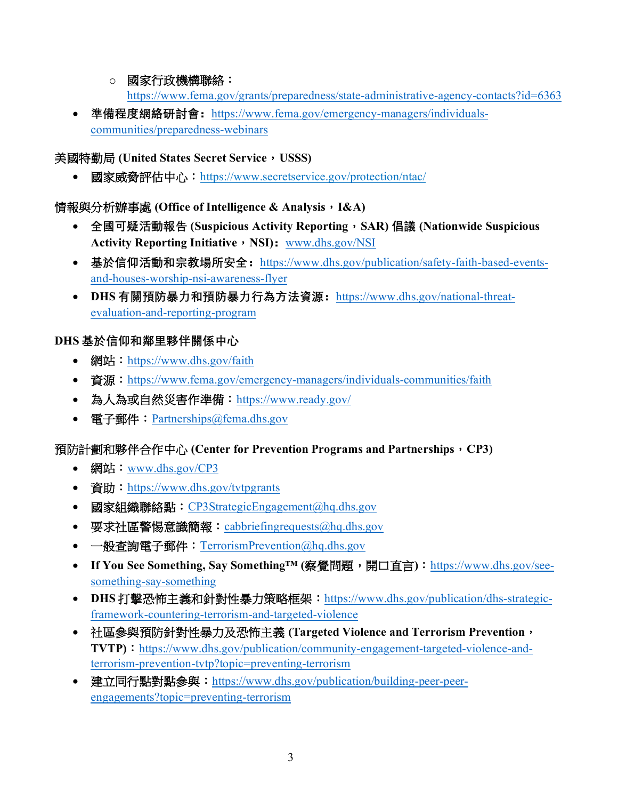### o 國家行政機構聯絡:

<https://www.fema.gov/grants/preparedness/state-administrative-agency-contacts?id=6363>

 [communities/preparedness-webinars](https://www.fema.gov/emergency-managers/individuals-communities/preparedness-webinars) • **準備程度網絡研討會:**[https://www.fema.gov/emergency-managers/individuals-](https://www.fema.gov/emergency-managers/individuals-communities/preparedness-webinars)

#### 美國特勤局 **(United States Secret Service**,**USSS)**

● 國家威脅評估中心: <https://www.secretservice.gov/protection/ntac/>

#### 情報與分析辦事處 **(Office of Intelligence & Analysis**,**I&A)**

- **全國可疑活動報告 (Suspicious Activity Reporting**,**SAR) 倡議 (Nationwide Suspicious Activity Reporting Initiative**,**NSI):**[www.dhs.gov/NSI](http://www.dhs.gov/NSI)
- **基於信仰活動和宗教場所安全:**[https://www.dhs.gov/publication/safety-faith-based-events](https://www.dhs.gov/publication/safety-faith-based-events-and-houses-worship-nsi-awareness-flyer)[and-houses-worship-nsi-awareness-flyer](https://www.dhs.gov/publication/safety-faith-based-events-and-houses-worship-nsi-awareness-flyer)
- **DHS 有關預防暴力和預防暴力行為方法資源:**[https://www.dhs.gov/national-threat](https://www.dhs.gov/national-threat-evaluation-and-reporting-program)[evaluation-and-reporting-program](https://www.dhs.gov/national-threat-evaluation-and-reporting-program)

#### **DHS 基於信仰和鄰里夥伴關係中心**

- 網站: https://www.dhs.gov/faith
- 資源: https://www.fema.gov/emergency-managers/individuals-communities/faith
- 為人為或自然災害作準備:https://www.ready.gov/
- 電子郵件: [Partnerships@fema.dhs.gov](mailto:Partnerships@fema.dhs.gov)

#### 預防計劃和夥伴合作中心 **(Center for Prevention Programs and Partnerships**,**CP3)**

- 網站:www.dhs.gov/CP3
- 資助: https://www.dhs.gov/tvtpgrants
- 國家組織聯絡點: CP3StrategicEngagement@hq.dhs.gov
- 要求社區警惕意識簡報:cabbriefingrequests@hq.dhs.gov
- 一般查詢電子郵件:TerrorismPrevention@hq.dhs.gov
- If You See Something, Say Something™ (察覺問題,開口直言): [https://www.dhs.gov/see](https://www.dhs.gov/see-something-say-something)[something-say-something](https://www.dhs.gov/see-something-say-something)
- **DHS** 打擊恐怖主義和針對性暴力策略框架: [https://www.dhs.gov/publication/dhs-strategic](https://www.dhs.gov/publication/dhs-strategic-framework-countering-terrorism-and-targeted-violence)[framework-countering-terrorism-and-targeted-violence](https://www.dhs.gov/publication/dhs-strategic-framework-countering-terrorism-and-targeted-violence)
- 社區參與預防針對性暴力及恐怖主義 **(Targeted Violence and Terrorism Prevention**, **TVTP)**: [https://www.dhs.gov/publication/community-engagement-targeted-violence-and](https://www.dhs.gov/publication/community-engagement-targeted-violence-and-terrorism-prevention-tvtp?topic=preventing-terrorism)[terrorism-prevention-tvtp?topic=preventing-terrorism](https://www.dhs.gov/publication/community-engagement-targeted-violence-and-terrorism-prevention-tvtp?topic=preventing-terrorism)
- [engagements?topic=preventing-terrorism](https://www.dhs.gov/publication/building-peer-peer-engagements?topic=preventing-terrorism)  • 建立同行點對點參與:[https://www.dhs.gov/publication/building-peer-peer-](https://www.dhs.gov/publication/building-peer-peer-engagements?topic=preventing-terrorism)